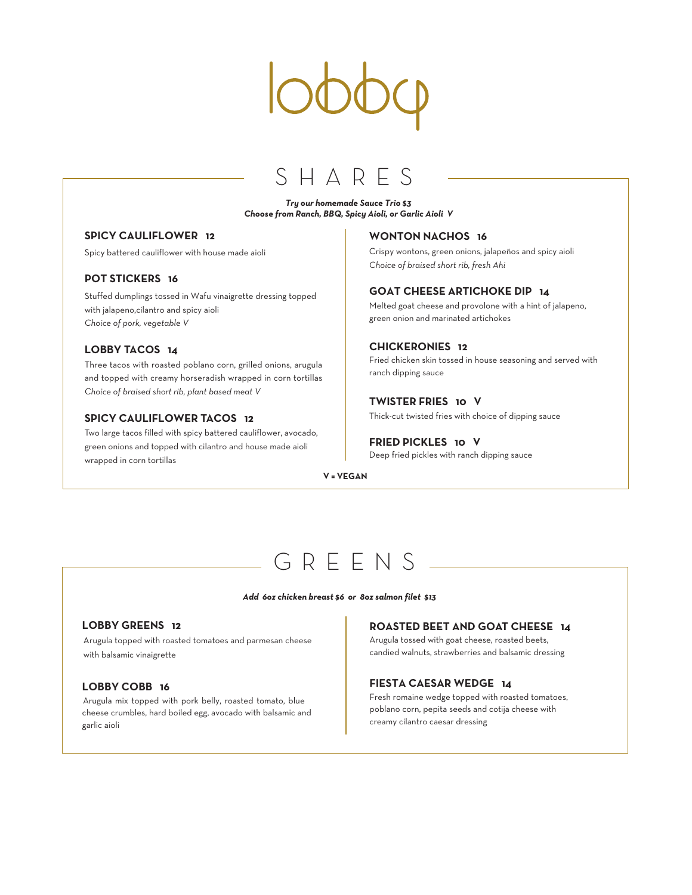### SHAR

#### *Try our homemade Sauce Trio \$3 Choose from Ranch, BBQ, Spicy Aioli, or Garlic Aioli V*

### **SPICY CAULIFLOWER 12**

Spicy battered cauliflower with house made aioli

### **POT STICKERS 16**

Stuffed dumplings tossed in Wafu vinaigrette dressing topped with jalapeno,cilantro and spicy aioli *Choice of pork, vegetable V*

#### **LOBBY TACOS 14**

Three tacos with roasted poblano corn, grilled onions, arugula and topped with creamy horseradish wrapped in corn tortillas *Choice of braised short rib, plant based meat V*

#### **SPICY CAULIFLOWER TACOS 12**

Two large tacos filled with spicy battered cauliflower, avocado, green onions and topped with cilantro and house made aioli wrapped in corn tortillas

#### **WONTON NACHOS 16**

Crispy wontons, green onions, jalapeños and spicy aioli *Choice of braised short rib, fresh Ahi*

#### **GOAT CHEESE ARTICHOKE DIP 14**

Melted goat cheese and provolone with a hint of jalapeno, green onion and marinated artichokes

#### **CHICKERONIES 12**

Fried chicken skin tossed in house seasoning and served with ranch dipping sauce

#### **TWISTER FRIES 10 V**

Thick-cut twisted fries with choice of dipping sauce

#### **FRIED PICKLES 10 V**

Deep fried pickles with ranch dipping sauce

#### **V = VEGAN**

## G R EENS

#### *Add 6oz chicken breast \$6 or 8oz salmon filet \$13*

### **LOBBY GREENS 12**

Arugula topped with roasted tomatoes and parmesan cheese with balsamic vinaigrette

#### **LOBBY COBB 16**

Arugula mix topped with pork belly, roasted tomato, blue cheese crumbles, hard boiled egg, avocado with balsamic and garlic aioli

#### **ROASTED BEET AND GOAT CHEESE 14**

Arugula tossed with goat cheese, roasted beets, candied walnuts, strawberries and balsamic dressing

#### **FIESTA CAESAR WEDGE 14**

Fresh romaine wedge topped with roasted tomatoes, poblano corn, pepita seeds and cotija cheese with creamy cilantro caesar dressing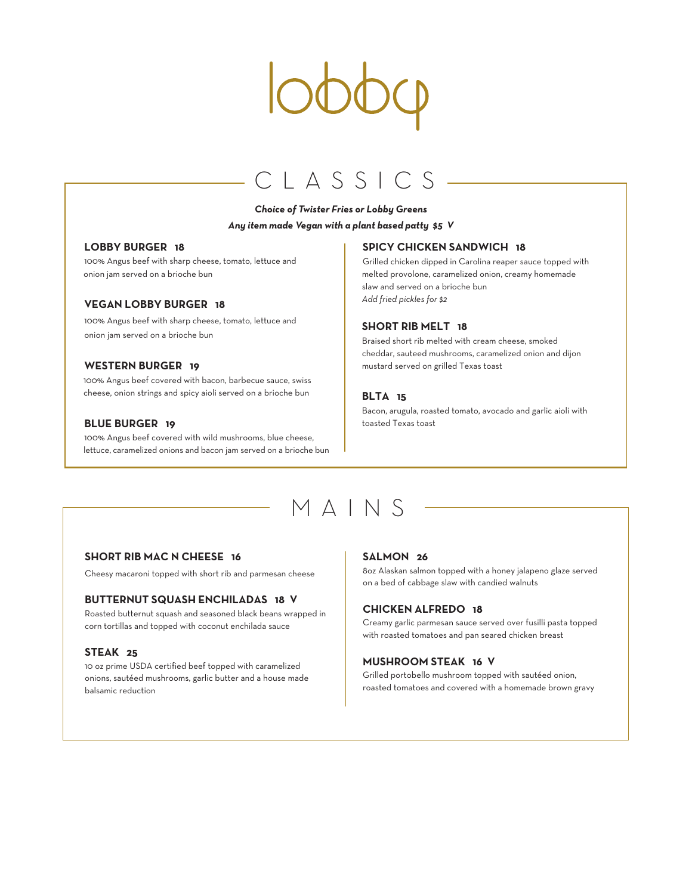## CLASSICS

### *Choice of Twister Fries or Lobby Greens Any item made Vegan with a plant based patty \$5 V*

#### **LOBBY BURGER 18**

100% Angus beef with sharp cheese, tomato, lettuce and onion jam served on a brioche bun

#### **VEGAN LOBBY BURGER 18**

100% Angus beef with sharp cheese, tomato, lettuce and onion jam served on a brioche bun

#### **WESTERN BURGER 19**

100% Angus beef covered with bacon, barbecue sauce, swiss cheese, onion strings and spicy aioli served on a brioche bun

#### **BLUE BURGER 19**

100% Angus beef covered with wild mushrooms, blue cheese, lettuce, caramelized onions and bacon jam served on a brioche bun

#### **SPICY CHICKEN SANDWICH 18**

Grilled chicken dipped in Carolina reaper sauce topped with melted provolone, caramelized onion, creamy homemade slaw and served on a brioche bun *Add fried pickles for \$2*

#### **SHORT RIB MELT 18**

Braised short rib melted with cream cheese, smoked cheddar, sauteed mushrooms, caramelized onion and dijon mustard served on grilled Texas toast

#### **BLTA 15**

Bacon, arugula, roasted tomato, avocado and garlic aioli with toasted Texas toast

# MAIN S

#### **SHORT RIB MAC N CHEESE 16**

Cheesy macaroni topped with short rib and parmesan cheese

#### **BUTTERNUT SQUASH ENCHILADAS 18 V**

Roasted butternut squash and seasoned black beans wrapped in corn tortillas and topped with coconut enchilada sauce

#### **STEAK 25**

10 oz prime USDA certified beef topped with caramelized onions, sautéed mushrooms, garlic butter and a house made balsamic reduction

#### **SALMON 26**

8oz Alaskan salmon topped with a honey jalapeno glaze served on a bed of cabbage slaw with candied walnuts

#### **CHICKEN ALFREDO 18**

Creamy garlic parmesan sauce served over fusilli pasta topped with roasted tomatoes and pan seared chicken breast

#### **MUSHROOM STEAK 16 V**

Grilled portobello mushroom topped with sautéed onion, roasted tomatoes and covered with a homemade brown gravy